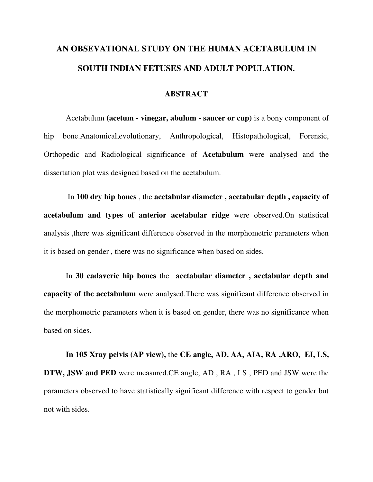## **AN OBSEVATIONAL STUDY ON THE HUMAN ACETABULUM IN SOUTH INDIAN FETUSES AND ADULT POPULATION.**

## **ABSTRACT**

Acetabulum **(acetum - vinegar, abulum - saucer or cup)** is a bony component of hip bone.Anatomical,evolutionary, Anthropological, Histopathological, Forensic, Orthopedic and Radiological significance of **Acetabulum** were analysed and the dissertation plot was designed based on the acetabulum.

In **100 dry hip bones** , the **acetabular diameter , acetabular depth , capacity of acetabulum and types of anterior acetabular ridge** were observed.On statistical analysis ,there was significant difference observed in the morphometric parameters when it is based on gender , there was no significance when based on sides.

In **30 cadaveric hip bones** the **acetabular diameter , acetabular depth and capacity of the acetabulum** were analysed.There was significant difference observed in the morphometric parameters when it is based on gender, there was no significance when based on sides.

**In 105 Xray pelvis (AP view),** the **CE angle, AD, AA, AIA, RA ,ARO, EI, LS, DTW, JSW and PED** were measured.CE angle, AD , RA , LS , PED and JSW were the parameters observed to have statistically significant difference with respect to gender but not with sides.